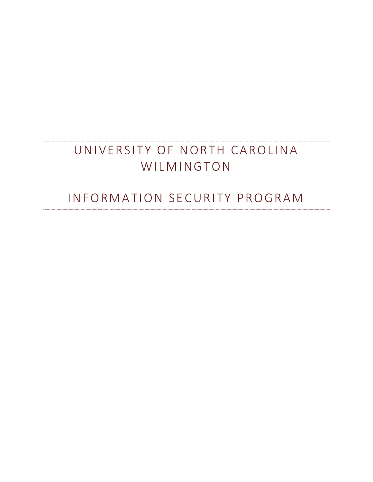# UNIVERSITY OF NORTH CAROLINA WILMINGTON

## INFORMATION SECURITY PROGRAM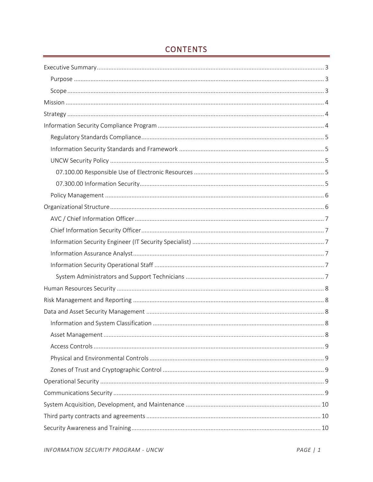## **CONTENTS**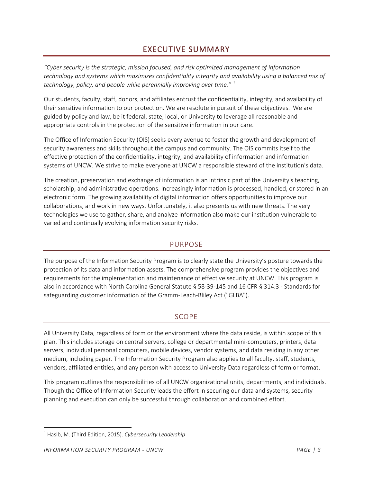## EXECUTIVE SUMMARY

<span id="page-3-0"></span>*"Cyber security is the strategic, mission focused, and risk optimized management of information technology and systems which maximizes confidentiality integrity and availability using a balanced mix of technology, policy, and people while perennially improving over time." [1](#page-3-3)*

Our students, faculty, staff, donors, and affiliates entrust the confidentiality, integrity, and availability of their sensitive information to our protection. We are resolute in pursuit of these objectives. We are guided by policy and law, be it federal, state, local, or University to leverage all reasonable and appropriate controls in the protection of the sensitive information in our care.

The Office of Information Security (OIS) seeks every avenue to foster the growth and development of security awareness and skills throughout the campus and community. The OIS commits itself to the effective protection of the confidentiality, integrity, and availability of information and information systems of UNCW. We strive to make everyone at UNCW a responsible steward of the institution's data.

The creation, preservation and exchange of information is an intrinsic part of the University's teaching, scholarship, and administrative operations. Increasingly information is processed, handled, or stored in an electronic form. The growing availability of digital information offers opportunities to improve our collaborations, and work in new ways. Unfortunately, it also presents us with new threats. The very technologies we use to gather, share, and analyze information also make our institution vulnerable to varied and continually evolving information security risks.

#### PURPOSE

<span id="page-3-1"></span>The purpose of the Information Security Program is to clearly state the University's posture towards the protection of its data and information assets. The comprehensive program provides the objectives and requirements for the implementation and maintenance of effective security at UNCW. This program is also in accordance with North Carolina General Statute § 58-39-145 and 16 CFR § 314.3 - Standards for safeguarding customer information of the Gramm-Leach-Bliley Act ("GLBA").

#### SCOPE

<span id="page-3-2"></span>All University Data, regardless of form or the environment where the data reside, is within scope of this plan. This includes storage on central servers, college or departmental mini-computers, printers, data servers, individual personal computers, mobile devices, vendor systems, and data residing in any other medium, including paper. The Information Security Program also applies to all faculty, staff, students, vendors, affiliated entities, and any person with access to University Data regardless of form or format.

This program outlines the responsibilities of all UNCW organizational units, departments, and individuals. Though the Office of Information Security leads the effort in securing our data and systems, security planning and execution can only be successful through collaboration and combined effort.

<span id="page-3-3"></span><sup>1</sup> Hasib, M. (Third Edition, 2015). *Cybersecurity Leadership*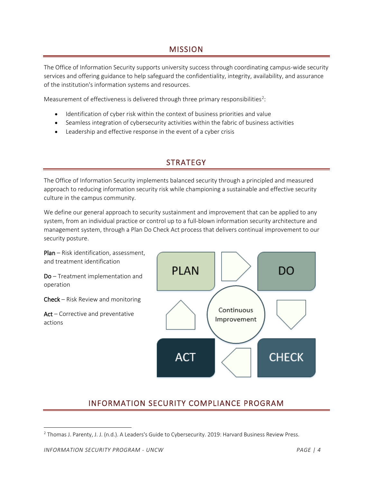## **MISSION**

<span id="page-4-0"></span>The Office of Information Security supports university success through coordinating campus-wide security services and offering guidance to help safeguard the confidentiality, integrity, availability, and assurance of the institution's information systems and resources.

Measurement of effectiveness is delivered through three primary responsibilities<sup>[2](#page-4-3)</sup>:

- Identification of cyber risk within the context of business priorities and value
- Seamless integration of cybersecurity activities within the fabric of business activities
- <span id="page-4-1"></span>• Leadership and effective response in the event of a cyber crisis

## **STRATEGY**

The Office of Information Security implements balanced security through a principled and measured approach to reducing information security risk while championing a sustainable and effective security culture in the campus community.

We define our general approach to security sustainment and improvement that can be applied to any system, from an individual practice or control up to a full-blown information security architecture and management system, through a Plan Do Check Act process that delivers continual improvement to our security posture.

Plan – Risk identification, assessment, and treatment identification **PLAN** DO Do – Treatment implementation and operation Check – Risk Review and monitoring Continuous Act – Corrective and preventative Improvement actions **CHECK ACT** 

## INFORMATION SECURITY COMPLIANCE PROGRAM

<span id="page-4-3"></span><span id="page-4-2"></span><sup>2</sup> Thomas J. Parenty, J. J. (n.d.). A Leaders's Guide to Cybersecurity. 2019: Harvard Business Review Press.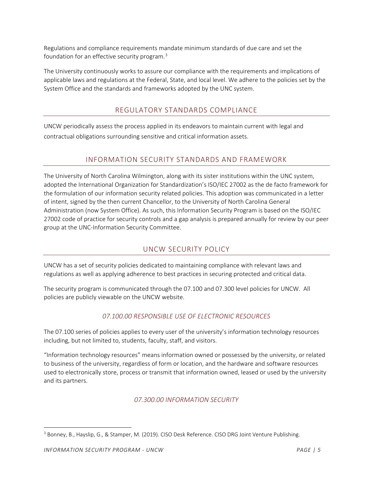Regulations and compliance requirements mandate minimum standards of due care and set the foundation for an effective security program.[3](#page-5-5)

The University continuously works to assure our compliance with the requirements and implications of applicable laws and regulations at the Federal, State, and local level. We adhere to the policies set by the System Office and the standards and frameworks adopted by the UNC system.

#### REGULATORY STANDARDS COMPLIANCE

<span id="page-5-0"></span>UNCW periodically assess the process applied in its endeavors to maintain current with legal and contractual obligations surrounding sensitive and critical information assets.

#### INFORMATION SECURITY STANDARDS AND FRAMEWORK

<span id="page-5-1"></span>The University of North Carolina Wilmington, along with its sister institutions within the UNC system, adopted the International Organization for Standardization's ISO/IEC 27002 as the de facto framework for the formulation of our information security related policies. This adoption was communicated in a letter of intent, signed by the then current Chancellor, to the University of North Carolina General Administration (now System Office). As such, this Information Security Program is based on the ISO/IEC 27002 code of practice for security controls and a gap analysis is prepared annually for review by our peer group at the UNC-Information Security Committee.

#### UNCW SECURITY POLICY

<span id="page-5-2"></span>UNCW has a set of security policies dedicated to maintaining compliance with relevant laws and regulations as well as applying adherence to best practices in securing protected and critical data.

The security program is communicated through the 07.100 and 07.300 level policies for UNCW. All policies are publicly viewable on the UNCW website.

#### *07.100.00 RESPONSIBLE USE OF ELECTRONIC RESOURCES*

<span id="page-5-3"></span>The 07.100 series of policies applies to every user of the university's information technology resources including, but not limited to, students, faculty, staff, and visitors.

<span id="page-5-4"></span>"Information technology resources" means information owned or possessed by the university, or related to business of the university, regardless of form or location, and the hardware and software resources used to electronically store, process or transmit that information owned, leased or used by the university and its partners.

*07.300.00 INFORMATION SECURITY*

<span id="page-5-5"></span><sup>3</sup> Bonney, B., Hayslip, G., & Stamper, M. (2019). CISO Desk Reference. CISO DRG Joint Venture Publishing.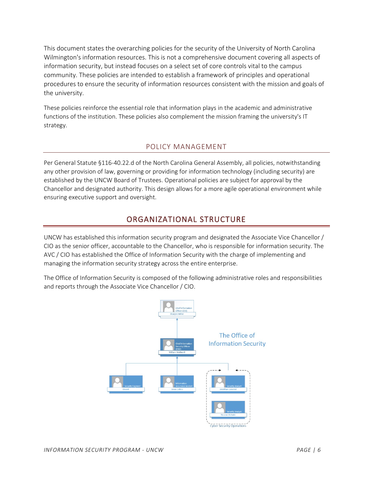This document states the overarching policies for the security of the University of North Carolina Wilmington's information resources. This is not a comprehensive document covering all aspects of information security, but instead focuses on a select set of core controls vital to the campus community. These policies are intended to establish a framework of principles and operational procedures to ensure the security of information resources consistent with the mission and goals of the university.

These policies reinforce the essential role that information plays in the academic and administrative functions of the institution. These policies also complement the mission framing the university's IT strategy.

#### POLICY MANAGEMENT

<span id="page-6-0"></span>Per General Statute §116-40.22.d of the North Carolina General Assembly, all policies, notwithstanding any other provision of law, governing or providing for information technology (including security) are established by the UNCW Board of Trustees. Operational policies are subject for approval by the Chancellor and designated authority. This design allows for a more agile operational environment while ensuring executive support and oversight.

## ORGANIZATIONAL STRUCTURE

<span id="page-6-1"></span>UNCW has established this information security program and designated the Associate Vice Chancellor / CIO as the senior officer, accountable to the Chancellor, who is responsible for information security. The AVC / CIO has established the Office of Information Security with the charge of implementing and managing the information security strategy across the entire enterprise.

The Office of Information Security is composed of the following administrative roles and responsibilities and reports through the Associate Vice Chancellor / CIO.

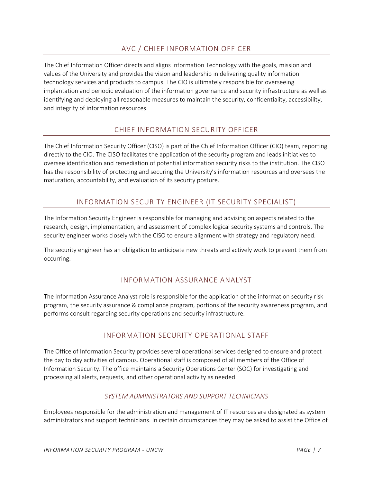### AVC / CHIEF INFORMATION OFFICER

<span id="page-7-0"></span>The Chief Information Officer directs and aligns Information Technology with the goals, mission and values of the University and provides the vision and leadership in delivering quality information technology services and products to campus. The CIO is ultimately responsible for overseeing implantation and periodic evaluation of the information governance and security infrastructure as well as identifying and deploying all reasonable measures to maintain the security, confidentiality, accessibility, and integrity of information resources.

#### CHIEF INFORMATION SECURITY OFFICER

<span id="page-7-1"></span>The Chief Information Security Officer (CISO) is part of the Chief Information Officer (CIO) team, reporting directly to the CIO. The CISO facilitates the application of the security program and leads initiatives to oversee identification and remediation of potential information security risks to the institution. The CISO has the responsibility of protecting and securing the University's information resources and oversees the maturation, accountability, and evaluation of its security posture.

#### INFORMATION SECURITY ENGINEER (IT SECURITY SPECIALIST)

<span id="page-7-2"></span>The Information Security Engineer is responsible for managing and advising on aspects related to the research, design, implementation, and assessment of complex logical security systems and controls. The security engineer works closely with the CISO to ensure alignment with strategy and regulatory need.

<span id="page-7-3"></span>The security engineer has an obligation to anticipate new threats and actively work to prevent them from occurring.

#### INFORMATION ASSURANCE ANALYST

The Information Assurance Analyst role is responsible for the application of the information security risk program, the security assurance & compliance program, portions of the security awareness program, and performs consult regarding security operations and security infrastructure.

#### INFORMATION SECURITY OPERATIONAL STAFF

<span id="page-7-4"></span>The Office of Information Security provides several operational services designed to ensure and protect the day to day activities of campus. Operational staff is composed of all members of the Office of Information Security. The office maintains a Security Operations Center (SOC) for investigating and processing all alerts, requests, and other operational activity as needed.

#### *SYSTEM ADMINISTRATORS AND SUPPORT TECHNICIANS*

<span id="page-7-5"></span>Employees responsible for the administration and management of IT resources are designated as system administrators and support technicians. In certain circumstances they may be asked to assist the Office of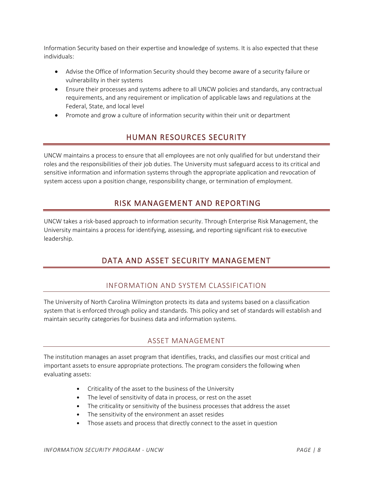Information Security based on their expertise and knowledge of systems. It is also expected that these individuals:

- Advise the Office of Information Security should they become aware of a security failure or vulnerability in their systems
- Ensure their processes and systems adhere to all UNCW policies and standards, any contractual requirements, and any requirement or implication of applicable laws and regulations at the Federal, State, and local level
- <span id="page-8-0"></span>• Promote and grow a culture of information security within their unit or department

## HUMAN RESOURCES SECURITY

UNCW maintains a process to ensure that all employees are not only qualified for but understand their roles and the responsibilities of their job duties. The University must safeguard access to its critical and sensitive information and information systems through the appropriate application and revocation of system access upon a position change, responsibility change, or termination of employment.

## <span id="page-8-1"></span>RISK MANAGEMENT AND REPORTING

<span id="page-8-2"></span>UNCW takes a risk-based approach to information security. Through Enterprise Risk Management, the University maintains a process for identifying, assessing, and reporting significant risk to executive leadership.

## DATA AND ASSET SECURITY MANAGEMENT

#### INFORMATION AND SYSTEM CLASSIFICATION

<span id="page-8-3"></span>The University of North Carolina Wilmington protects its data and systems based on a classification system that is enforced through policy and standards. This policy and set of standards will establish and maintain security categories for business data and information systems.

#### ASSET MANAGEMENT

<span id="page-8-4"></span>The institution manages an asset program that identifies, tracks, and classifies our most critical and important assets to ensure appropriate protections. The program considers the following when evaluating assets:

- Criticality of the asset to the business of the University
- The level of sensitivity of data in process, or rest on the asset
- The criticality or sensitivity of the business processes that address the asset
- The sensitivity of the environment an asset resides
- Those assets and process that directly connect to the asset in question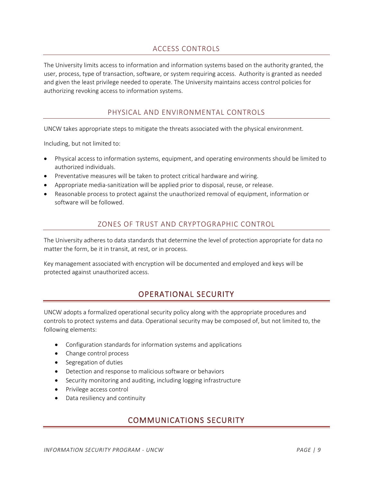#### ACCESS CONTROLS

<span id="page-9-0"></span>The University limits access to information and information systems based on the authority granted, the user, process, type of transaction, software, or system requiring access. Authority is granted as needed and given the least privilege needed to operate. The University maintains access control policies for authorizing revoking access to information systems.

#### PHYSICAL AND ENVIRONMENTAL CONTROLS

<span id="page-9-1"></span>UNCW takes appropriate steps to mitigate the threats associated with the physical environment.

Including, but not limited to:

- Physical access to information systems, equipment, and operating environments should be limited to authorized individuals.
- Preventative measures will be taken to protect critical hardware and wiring.
- Appropriate media-sanitization will be applied prior to disposal, reuse, or release.
- <span id="page-9-2"></span>• Reasonable process to protect against the unauthorized removal of equipment, information or software will be followed.

#### ZONES OF TRUST AND CRYPTOGRAPHIC CONTROL

The University adheres to data standards that determine the level of protection appropriate for data no matter the form, be it in transit, at rest, or in process.

<span id="page-9-3"></span>Key management associated with encryption will be documented and employed and keys will be protected against unauthorized access.

## OPERATIONAL SECURITY

UNCW adopts a formalized operational security policy along with the appropriate procedures and controls to protect systems and data. Operational security may be composed of, but not limited to, the following elements:

- Configuration standards for information systems and applications
- Change control process
- Segregation of duties
- Detection and response to malicious software or behaviors
- Security monitoring and auditing, including logging infrastructure
- Privilege access control
- <span id="page-9-4"></span>• Data resiliency and continuity

## COMMUNICATIONS SECURITY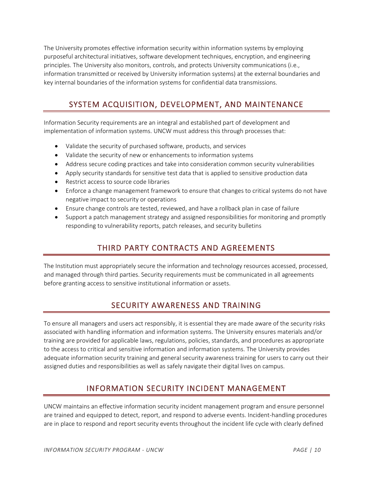The University promotes effective information security within information systems by employing purposeful architectural initiatives, software development techniques, encryption, and engineering principles. The University also monitors, controls, and protects University communications (i.e., information transmitted or received by University information systems) at the external boundaries and key internal boundaries of the information systems for confidential data transmissions.

## <span id="page-10-0"></span>SYSTEM ACQUISITION, DEVELOPMENT, AND MAINTENANCE

Information Security requirements are an integral and established part of development and implementation of information systems. UNCW must address this through processes that:

- Validate the security of purchased software, products, and services
- Validate the security of new or enhancements to information systems
- Address secure coding practices and take into consideration common security vulnerabilities
- Apply security standards for sensitive test data that is applied to sensitive production data
- Restrict access to source code libraries
- Enforce a change management framework to ensure that changes to critical systems do not have negative impact to security or operations
- Ensure change controls are tested, reviewed, and have a rollback plan in case of failure
- <span id="page-10-1"></span>• Support a patch management strategy and assigned responsibilities for monitoring and promptly responding to vulnerability reports, patch releases, and security bulletins

## THIRD PARTY CONTRACTS AND AGREEMENTS

The Institution must appropriately secure the information and technology resources accessed, processed, and managed through third parties. Security requirements must be communicated in all agreements before granting access to sensitive institutional information or assets.

## SECURITY AWARENESS AND TRAINING

<span id="page-10-2"></span>To ensure all managers and users act responsibly, it is essential they are made aware of the security risks associated with handling information and information systems. The University ensures materials and/or training are provided for applicable laws, regulations, policies, standards, and procedures as appropriate to the access to critical and sensitive information and information systems. The University provides adequate information security training and general security awareness training for users to carry out their assigned duties and responsibilities as well as safely navigate their digital lives on campus.

## INFORMATION SECURITY INCIDENT MANAGEMENT

<span id="page-10-3"></span>UNCW maintains an effective information security incident management program and ensure personnel are trained and equipped to detect, report, and respond to adverse events. Incident-handling procedures are in place to respond and report security events throughout the incident life cycle with clearly defined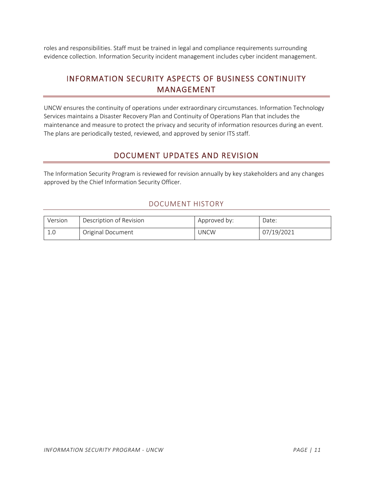<span id="page-11-0"></span>roles and responsibilities. Staff must be trained in legal and compliance requirements surrounding evidence collection. Information Security incident management includes cyber incident management.

## INFORMATION SECURITY ASPECTS OF BUSINESS CONTINUITY MANAGEMENT

UNCW ensures the continuity of operations under extraordinary circumstances. Information Technology Services maintains a Disaster Recovery Plan and Continuity of Operations Plan that includes the maintenance and measure to protect the privacy and security of information resources during an event. The plans are periodically tested, reviewed, and approved by senior ITS staff.

## DOCUMENT UPDATES AND REVISION

<span id="page-11-2"></span><span id="page-11-1"></span>The Information Security Program is reviewed for revision annually by key stakeholders and any changes approved by the Chief Information Security Officer.

#### DOCUMENT HISTORY

| Version | Description of Revision | Approved by: | Date:      |
|---------|-------------------------|--------------|------------|
| 1.0     | Original Document       | JNCW         | 07/19/2021 |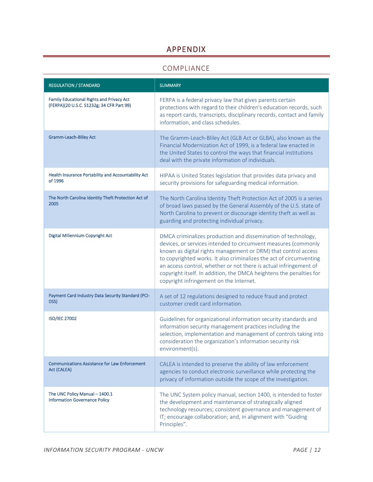## APPENDIX

#### COMPLIANCE

<span id="page-12-1"></span><span id="page-12-0"></span>

| <b>REGULATION / STANDARD</b>                                                                  | <b>SUMMARY</b>                                                                                                                                                                                                                                                                                                                                                                                                                                                  |
|-----------------------------------------------------------------------------------------------|-----------------------------------------------------------------------------------------------------------------------------------------------------------------------------------------------------------------------------------------------------------------------------------------------------------------------------------------------------------------------------------------------------------------------------------------------------------------|
| <b>Family Educational Rights and Privacy Act</b><br>(FERPA)(20 U.S.C. S1232g; 34 CFR Part 99) | FERPA is a federal privacy law that gives parents certain<br>protections with regard to their children's education records, such<br>as report cards, transcripts, disciplinary records, contact and family<br>information, and class schedules.                                                                                                                                                                                                                 |
| Gramm-Leach-Bliley Act                                                                        | The Gramm-Leach-Bliley Act (GLB Act or GLBA), also known as the<br>Financial Modernization Act of 1999, is a federal law enacted in<br>the United States to control the ways that financial institutions<br>deal with the private information of individuals.                                                                                                                                                                                                   |
| Health Insurance Portability and Accountability Act<br>of 1996                                | HIPAA is United States legislation that provides data privacy and<br>security provisions for safeguarding medical information.                                                                                                                                                                                                                                                                                                                                  |
| The North Carolina Identity Theft Protection Act of<br>2005                                   | The North Carolina Identity Theft Protection Act of 2005 is a series<br>of broad laws passed by the General Assembly of the U.S. state of<br>North Carolina to prevent or discourage identity theft as well as<br>guarding and protecting individual privacy.                                                                                                                                                                                                   |
| Digital Millennium Copyright Act                                                              | DMCA criminalizes production and dissemination of technology,<br>devices, or services intended to circumvent measures (commonly<br>known as digital rights management or DRM) that control access<br>to copyrighted works. It also criminalizes the act of circumventing<br>an access control, whether or not there is actual infringement of<br>copyright itself. In addition, the DMCA heightens the penalties for<br>copyright infringement on the Internet. |
| Payment Card Industry Data Security Standard (PCI-<br>DSS)                                    | A set of 12 regulations designed to reduce fraud and protect<br>customer credit card information.                                                                                                                                                                                                                                                                                                                                                               |
| <b>ISO/IEC 27002</b>                                                                          | Guidelines for organizational information security standards and<br>information security management practices including the<br>selection, implementation and management of controls taking into<br>consideration the organization's information security risk<br>environment(s).                                                                                                                                                                                |
| <b>Communications Assistance for Law Enforcement</b><br>Act (CALEA)                           | CALEA is intended to preserve the ability of law enforcement<br>agencies to conduct electronic surveillance while protecting the<br>privacy of information outside the scope of the investigation.                                                                                                                                                                                                                                                              |
| The UNC Policy Manual - 1400.1<br><b>Information Governance Policy</b>                        | The UNC System policy manual, section 1400, is intended to foster<br>the development and maintenance of strategically aligned<br>technology resources; consistent governance and management of<br>IT; encourage collaboration; and, in alignment with "Guiding<br>Principles".                                                                                                                                                                                  |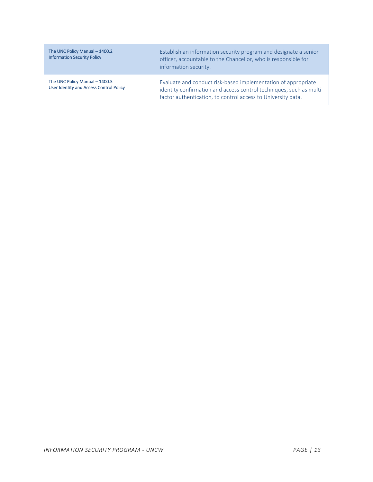| The UNC Policy Manual - 1400.2<br><b>Information Security Policy</b>             | Establish an information security program and designate a senior<br>officer, accountable to the Chancellor, who is responsible for<br>information security.                                          |
|----------------------------------------------------------------------------------|------------------------------------------------------------------------------------------------------------------------------------------------------------------------------------------------------|
| The UNC Policy Manual - 1400.3<br><b>User Identity and Access Control Policy</b> | Evaluate and conduct risk-based implementation of appropriate<br>identity confirmation and access control techniques, such as multi-<br>factor authentication, to control access to University data. |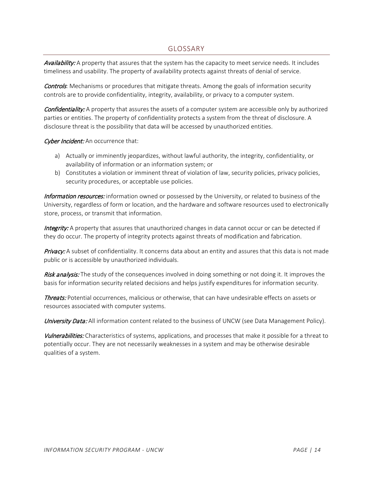#### GLOSSARY

<span id="page-14-0"></span>Availability: A property that assures that the system has the capacity to meet service needs. It includes timeliness and usability. The property of availability protects against threats of denial of service.

**Controls**: Mechanisms or procedures that mitigate threats. Among the goals of information security controls are to provide confidentiality, integrity, availability, or privacy to a computer system.

**Confidentiality:** A property that assures the assets of a computer system are accessible only by authorized parties or entities. The property of confidentiality protects a system from the threat of disclosure. A disclosure threat is the possibility that data will be accessed by unauthorized entities.

Cyber Incident: An occurrence that:

- a) Actually or imminently jeopardizes, without lawful authority, the integrity, confidentiality, or availability of information or an information system; or
- b) Constitutes a violation or imminent threat of violation of law, security policies, privacy policies, security procedures, or acceptable use policies.

Information resources: information owned or possessed by the University, or related to business of the University, regardless of form or location, and the hardware and software resources used to electronically store, process, or transmit that information.

Integrity: A property that assures that unauthorized changes in data cannot occur or can be detected if they do occur. The property of integrity protects against threats of modification and fabrication.

Privacy: A subset of confidentiality. It concerns data about an entity and assures that this data is not made public or is accessible by unauthorized individuals.

Risk analysis: The study of the consequences involved in doing something or not doing it. It improves the basis for information security related decisions and helps justify expenditures for information security.

Threats: Potential occurrences, malicious or otherwise, that can have undesirable effects on assets or resources associated with computer systems.

University Data: All information content related to the business of UNCW (see Data Management Policy).

Vulnerabilities: Characteristics of systems, applications, and processes that make it possible for a threat to potentially occur. They are not necessarily weaknesses in a system and may be otherwise desirable qualities of a system.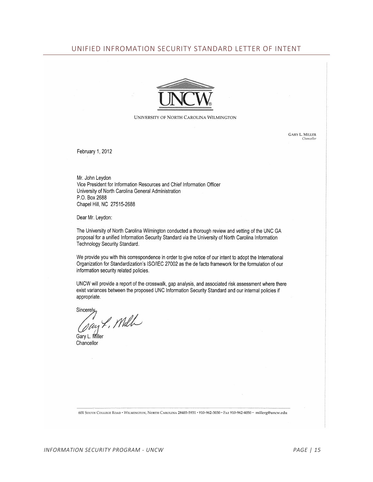#### <span id="page-15-0"></span>UNIFIED INFROMATION SECURITY STANDARD LETTER OF INTENT



#### UNIVERSITY OF NORTH CAROLINA WILMINGTON

**GARY L. MILLER** Chancello

February 1, 2012

Mr. John Leydon Vice President for Information Resources and Chief Information Officer University of North Carolina General Administration P.O. Box 2688 Chapel Hill, NC 27515-2688

Dear Mr. Leydon:

The University of North Carolina Wilmington conducted a thorough review and vetting of the UNC GA proposal for a unified Information Security Standard via the University of North Carolina Information Technology Security Standard.

We provide you with this correspondence in order to give notice of our intent to adopt the International Organization for Standardization's ISO/IEC 27002 as the de facto framework for the formulation of our information security related policies.

UNCW will provide a report of the crosswalk, gap analysis, and associated risk assessment where there exist variances between the proposed UNC Information Security Standard and our internal policies if appropriate.

 $Since  $\alpha$$ 

Tay L. Mill

Gary L. Miller Chancellor

601 SOUTH COLLEGE ROAD · WILMINGTON, NORTH CAROLINA 28403-5931 · 910-962-3030 · FAX 910-962-4050 · millerg@uncw.edu